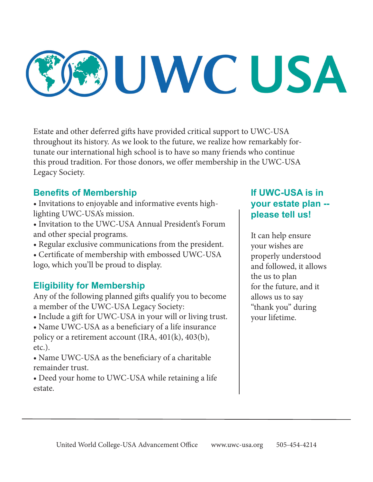# UWC USA

Estate and other deferred gifts have provided critical support to UWC-USA throughout its history. As we look to the future, we realize how remarkably fortunate our international high school is to have so many friends who continue this proud tradition. For those donors, we offer membership in the UWC-USA Legacy Society.

#### **Benefits of Membership**

- Invitations to enjoyable and informative events highlighting UWC-USA's mission.
- Invitation to the UWC-USA Annual President's Forum and other special programs.
- Regular exclusive communications from the president.
- Certificate of membership with embossed UWC-USA logo, which you'll be proud to display.

### **Eligibility for Membership**

Any of the following planned gifts qualify you to become a member of the UWC-USA Legacy Society:

- Include a gift for UWC-USA in your will or living trust.
- Name UWC-USA as a beneficiary of a life insurance policy or a retirement account (IRA,  $401(k)$ ,  $403(b)$ , etc.).
- Name UWC-USA as the beneficiary of a charitable remainder trust.
- Deed your home to UWC-USA while retaining a life estate.

#### **If UWC-USA is in your estate plan - please tell us!**

It can help ensure your wishes are properly understood and followed, it allows the us to plan for the future, and it allows us to say "thank you" during your lifetime.